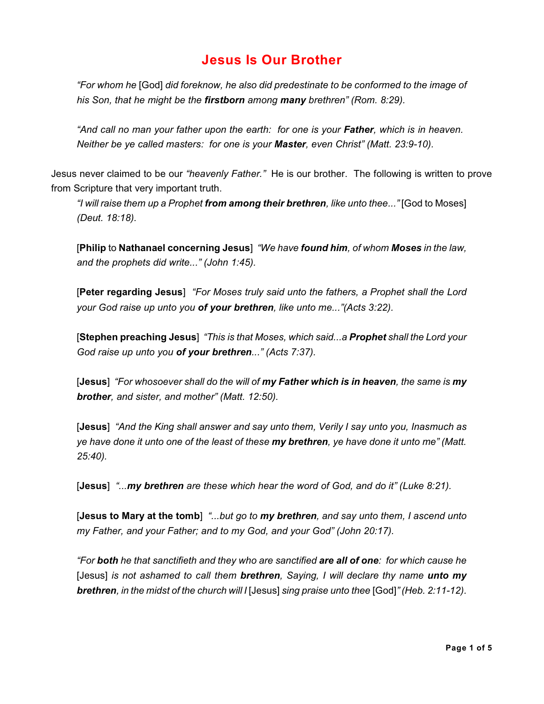# **Jesus Is Our Brother**

*"For whom he* [God] *did foreknow, he also did predestinate to be conformed to the image of his Son, that he might be the firstborn among many brethren" (Rom. 8:29).*

*"And call no man your father upon the earth: for one is your Father, which is in heaven. Neither be ye called masters: for one is your Master, even Christ" (Matt. 23:9-10).*

Jesus never claimed to be our *"heavenly Father."* He is our brother. The following is written to prove from Scripture that very important truth.

*"I will raise them up a Prophet from among their brethren, like unto thee..."* [God to Moses] *(Deut. 18:18).*

[**Philip** to **Nathanael concerning Jesus**] *"We have found him, of whom Moses in the law, and the prophets did write..." (John 1:45).*

[**Peter regarding Jesus**] *"For Moses truly said unto the fathers, a Prophet shall the Lord your God raise up unto you of your brethren, like unto me..."(Acts 3:22).*

[**Stephen preaching Jesus**] *"This is that Moses, which said...a Prophet shall the Lord your God raise up unto you of your brethren..." (Acts 7:37).*

[**Jesus**] *"For whosoever shall do the will of my Father which is in heaven, the same is my brother, and sister, and mother" (Matt. 12:50).*

[**Jesus**] *"And the King shall answer and say unto them, Verily I say unto you, Inasmuch as ye have done it unto one of the least of these my brethren, ye have done it unto me" (Matt. 25:40).*

[**Jesus**] *"...my brethren are these which hear the word of God, and do it" (Luke 8:21).*

[**Jesus to Mary at the tomb**] *"...but go to my brethren, and say unto them, I ascend unto my Father, and your Father; and to my God, and your God" (John 20:17).*

*"For both he that sanctifieth and they who are sanctified are all of one: for which cause he* [Jesus] *is not ashamed to call them brethren, Saying, I will declare thy name unto my brethren, in the midst of the church will I* [Jesus] *sing praise unto thee* [God]*" (Heb. 2:11-12).*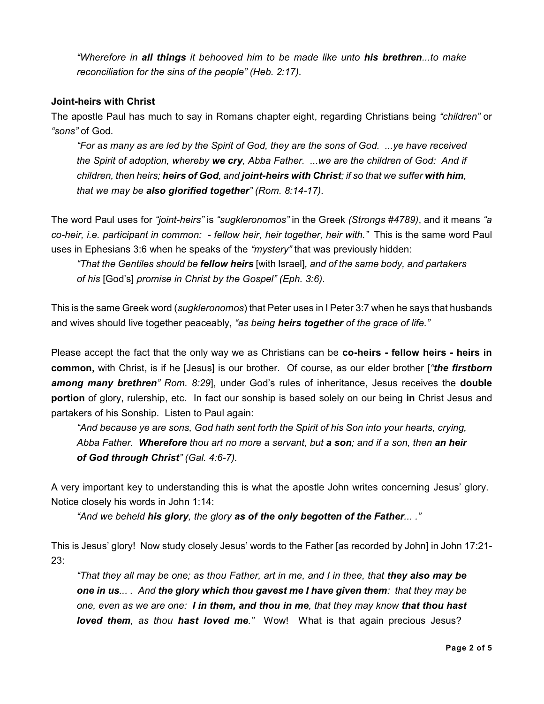*"Wherefore in all things it behooved him to be made like unto his brethren...to make reconciliation for the sins of the people" (Heb. 2:17).*

# **Joint-heirs with Christ**

The apostle Paul has much to say in Romans chapter eight, regarding Christians being *"children"* or *"sons"* of God.

*"For as many as are led by the Spirit of God, they are the sons of God. ...ye have received the Spirit of adoption, whereby we cry, Abba Father. ...we are the children of God: And if children, then heirs; heirs of God, and joint-heirs with Christ; if so that we suffer with him, that we may be also glorified together" (Rom. 8:14-17).*

The word Paul uses for *"joint-heirs"* is *"sugkleronomos"* in the Greek *(Strongs #4789)*, and it means *"a co-heir, i.e. participant in common: - fellow heir, heir together, heir with."* This is the same word Paul uses in Ephesians 3:6 when he speaks of the *"mystery"* that was previously hidden:

*"That the Gentiles should be fellow heirs* [with Israel]*, and of the same body, and partakers of his* [God's] *promise in Christ by the Gospel" (Eph. 3:6).*

This is the same Greek word (*sugkleronomos*) that Peter uses in I Peter 3:7 when he says that husbands and wives should live together peaceably, *"as being heirs together of the grace of life."*

Please accept the fact that the only way we as Christians can be **co-heirs - fellow heirs - heirs in common,** with Christ, is if he [Jesus] is our brother. Of course, as our elder brother [*"the firstborn among many brethren" Rom. 8:29*], under God's rules of inheritance, Jesus receives the **double portion** of glory, rulership, etc. In fact our sonship is based solely on our being **in** Christ Jesus and partakers of his Sonship. Listen to Paul again:

*"And because ye are sons, God hath sent forth the Spirit of his Son into your hearts, crying, Abba Father. Wherefore thou art no more a servant, but a son; and if a son, then an heir of God through Christ" (Gal. 4:6-7).*

A very important key to understanding this is what the apostle John writes concerning Jesus' glory. Notice closely his words in John 1:14:

*"And we beheld his glory, the glory as of the only begotten of the Father... ."*

This is Jesus' glory! Now study closely Jesus' words to the Father [as recorded by John] in John 17:21- 23:

*"That they all may be one; as thou Father, art in me, and I in thee, that they also may be one in us... . And the glory which thou gavest me I have given them: that they may be one, even as we are one: I in them, and thou in me, that they may know that thou hast loved them, as thou hast loved me."* Wow! What is that again precious Jesus?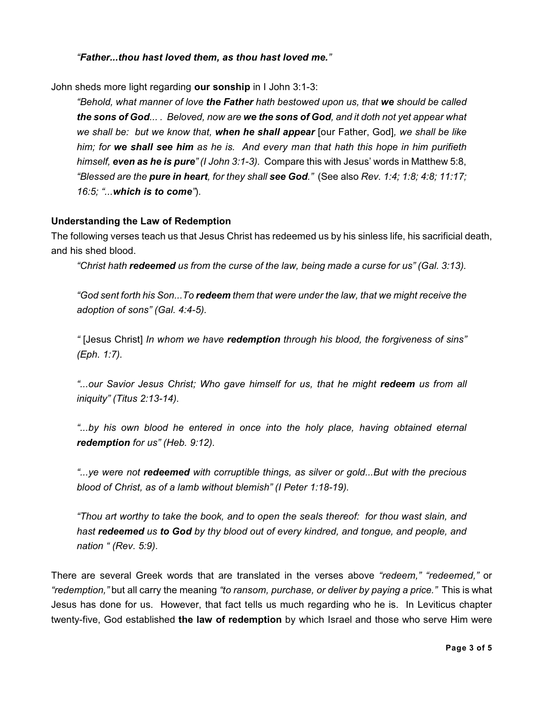### *"Father...thou hast loved them, as thou hast loved me."*

John sheds more light regarding **our sonship** in I John 3:1-3:

*"Behold, what manner of love the Father hath bestowed upon us, that we should be called the sons of God... . Beloved, now are we the sons of God, and it doth not yet appear what we shall be: but we know that, when he shall appear* [our Father, God]*, we shall be like him; for we shall see him as he is. And every man that hath this hope in him purifieth himself, even as he is pure" (I John 3:1-3).* Compare this with Jesus' words in Matthew 5:8, *"Blessed are the pure in heart, for they shall see God."* (See also *Rev. 1:4; 1:8; 4:8; 11:17; 16:5; "...which is to come"*).

#### **Understanding the Law of Redemption**

The following verses teach us that Jesus Christ has redeemed us by his sinless life, his sacrificial death, and his shed blood.

*"Christ hath redeemed us from the curse of the law, being made a curse for us" (Gal. 3:13).*

*"God sent forth his Son...To redeem them that were under the law, that we might receive the adoption of sons" (Gal. 4:4-5).*

*"* [Jesus Christ] *In whom we have redemption through his blood, the forgiveness of sins" (Eph. 1:7).*

*"...our Savior Jesus Christ; Who gave himself for us, that he might redeem us from all iniquity" (Titus 2:13-14).*

*"...by his own blood he entered in once into the holy place, having obtained eternal redemption for us" (Heb. 9:12).*

*"...ye were not redeemed with corruptible things, as silver or gold...But with the precious blood of Christ, as of a lamb without blemish" (I Peter 1:18-19).*

*"Thou art worthy to take the book, and to open the seals thereof: for thou wast slain, and hast redeemed us to God by thy blood out of every kindred, and tongue, and people, and nation " (Rev. 5:9).*

There are several Greek words that are translated in the verses above *"redeem," "redeemed,"* or *"redemption,"* but all carry the meaning *"to ransom, purchase, or deliver by paying a price."* This is what Jesus has done for us. However, that fact tells us much regarding who he is. In Leviticus chapter twenty-five, God established **the law of redemption** by which Israel and those who serve Him were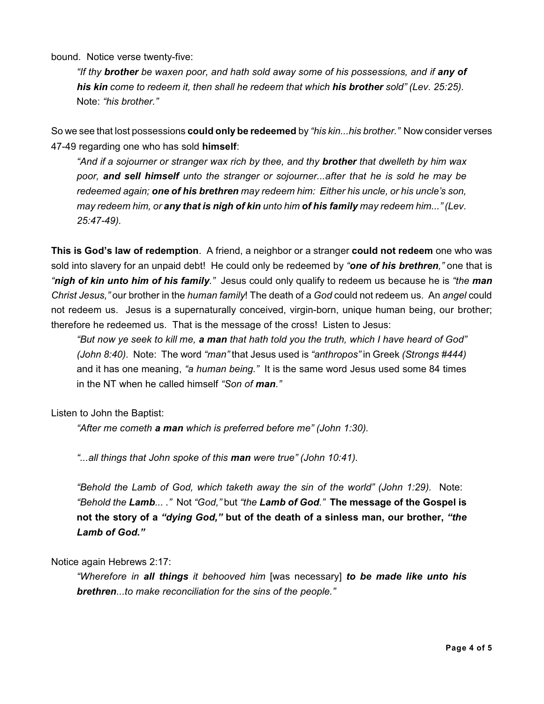bound. Notice verse twenty-five:

*"If thy brother be waxen poor, and hath sold away some of his possessions, and if any of his kin come to redeem it, then shall he redeem that which his brother sold" (Lev. 25:25).* Note: *"his brother."*

So we see that lost possessions **could only be redeemed** by *"his kin...his brother."* Now consider verses 47-49 regarding one who has sold **himself**:

*"And if a sojourner or stranger wax rich by thee, and thy brother that dwelleth by him wax poor, and sell himself unto the stranger or sojourner...after that he is sold he may be redeemed again; one of his brethren may redeem him: Either his uncle, or his uncle's son, may redeem him, or any that is nigh of kin unto him of his family may redeem him..." (Lev. 25:47-49).*

**This is God's law of redemption**. A friend, a neighbor or a stranger **could not redeem** one who was sold into slavery for an unpaid debt! He could only be redeemed by *"one of his brethren,"* one that is *"nigh of kin unto him of his family."* Jesus could only qualify to redeem us because he is *"the man Christ Jesus,"* our brother in the *human family*! The death of a *God* could not redeem us. An *angel* could not redeem us. Jesus is a supernaturally conceived, virgin-born, unique human being, our brother; therefore he redeemed us. That is the message of the cross! Listen to Jesus:

*"But now ye seek to kill me, a man that hath told you the truth, which I have heard of God" (John 8:40).* Note: The word *"man"* that Jesus used is *"anthropos"* in Greek *(Strongs #444)* and it has one meaning, *"a human being."* It is the same word Jesus used some 84 times in the NT when he called himself *"Son of man."*

Listen to John the Baptist:

*"After me cometh a man which is preferred before me" (John 1:30).*

*"...all things that John spoke of this man were true" (John 10:41).*

*"Behold the Lamb of God, which taketh away the sin of the world" (John 1:29).* Note: *"Behold the Lamb... ."* Not *"God,"* but *"the Lamb of God."* **The message of the Gospel is not the story of a** *"dying God,"* **but of the death of a sinless man, our brother,** *"the Lamb of God."*

Notice again Hebrews 2:17:

*"Wherefore in all things it behooved him* [was necessary] *to be made like unto his brethren...to make reconciliation for the sins of the people."*